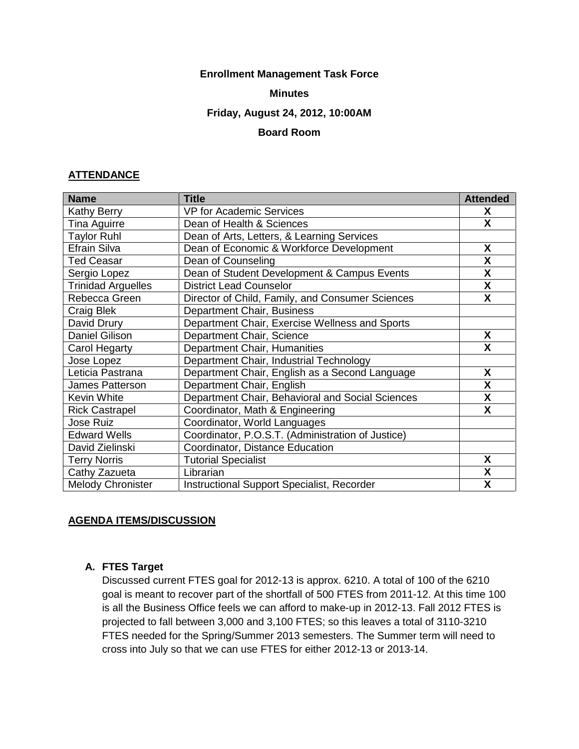### **Enrollment Management Task Force**

### **Minutes**

#### **Friday, August 24, 2012, 10:00AM**

### **Board Room**

### **ATTENDANCE**

| <b>Name</b>               | <b>Title</b>                                      | <b>Attended</b>         |
|---------------------------|---------------------------------------------------|-------------------------|
| <b>Kathy Berry</b>        | <b>VP for Academic Services</b>                   | X                       |
| Tina Aguirre              | Dean of Health & Sciences                         | X                       |
| <b>Taylor Ruhl</b>        | Dean of Arts, Letters, & Learning Services        |                         |
| Efrain Silva              | Dean of Economic & Workforce Development          | X                       |
| <b>Ted Ceasar</b>         | Dean of Counseling                                | X                       |
| Sergio Lopez              | Dean of Student Development & Campus Events       | X                       |
| <b>Trinidad Arguelles</b> | <b>District Lead Counselor</b>                    | X                       |
| Rebecca Green             | Director of Child, Family, and Consumer Sciences  | X                       |
| Craig Blek                | Department Chair, Business                        |                         |
| David Drury               | Department Chair, Exercise Wellness and Sports    |                         |
| <b>Daniel Gilison</b>     | Department Chair, Science                         | X                       |
| Carol Hegarty             | Department Chair, Humanities                      | X                       |
| Jose Lopez                | Department Chair, Industrial Technology           |                         |
| Leticia Pastrana          | Department Chair, English as a Second Language    | X                       |
| <b>James Patterson</b>    | Department Chair, English                         | X                       |
| Kevin White               | Department Chair, Behavioral and Social Sciences  | $\overline{\mathbf{X}}$ |
| <b>Rick Castrapel</b>     | Coordinator, Math & Engineering                   | X                       |
| <b>Jose Ruiz</b>          | Coordinator, World Languages                      |                         |
| <b>Edward Wells</b>       | Coordinator, P.O.S.T. (Administration of Justice) |                         |
| David Zielinski           | Coordinator, Distance Education                   |                         |
| <b>Terry Norris</b>       | <b>Tutorial Specialist</b>                        | X                       |
| Cathy Zazueta             | Librarian                                         | X                       |
| <b>Melody Chronister</b>  | <b>Instructional Support Specialist, Recorder</b> | X                       |

### **AGENDA ITEMS/DISCUSSION**

### **A. FTES Target**

Discussed current FTES goal for 2012-13 is approx. 6210. A total of 100 of the 6210 goal is meant to recover part of the shortfall of 500 FTES from 2011-12. At this time 100 is all the Business Office feels we can afford to make-up in 2012-13. Fall 2012 FTES is projected to fall between 3,000 and 3,100 FTES; so this leaves a total of 3110-3210 FTES needed for the Spring/Summer 2013 semesters. The Summer term will need to cross into July so that we can use FTES for either 2012-13 or 2013-14.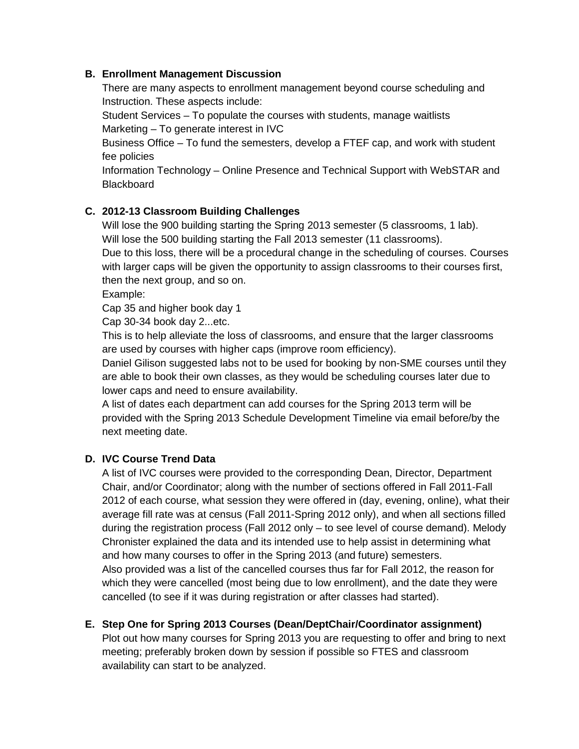## **B. Enrollment Management Discussion**

There are many aspects to enrollment management beyond course scheduling and Instruction. These aspects include:

Student Services – To populate the courses with students, manage waitlists Marketing – To generate interest in IVC

Business Office – To fund the semesters, develop a FTEF cap, and work with student fee policies

Information Technology – Online Presence and Technical Support with WebSTAR and **Blackboard** 

# **C. 2012-13 Classroom Building Challenges**

Will lose the 900 building starting the Spring 2013 semester (5 classrooms, 1 lab). Will lose the 500 building starting the Fall 2013 semester (11 classrooms).

Due to this loss, there will be a procedural change in the scheduling of courses. Courses with larger caps will be given the opportunity to assign classrooms to their courses first, then the next group, and so on.

Example:

Cap 35 and higher book day 1

Cap 30-34 book day 2...etc.

This is to help alleviate the loss of classrooms, and ensure that the larger classrooms are used by courses with higher caps (improve room efficiency).

Daniel Gilison suggested labs not to be used for booking by non-SME courses until they are able to book their own classes, as they would be scheduling courses later due to lower caps and need to ensure availability.

A list of dates each department can add courses for the Spring 2013 term will be provided with the Spring 2013 Schedule Development Timeline via email before/by the next meeting date.

# **D. IVC Course Trend Data**

A list of IVC courses were provided to the corresponding Dean, Director, Department Chair, and/or Coordinator; along with the number of sections offered in Fall 2011-Fall 2012 of each course, what session they were offered in (day, evening, online), what their average fill rate was at census (Fall 2011-Spring 2012 only), and when all sections filled during the registration process (Fall 2012 only – to see level of course demand). Melody Chronister explained the data and its intended use to help assist in determining what and how many courses to offer in the Spring 2013 (and future) semesters. Also provided was a list of the cancelled courses thus far for Fall 2012, the reason for which they were cancelled (most being due to low enrollment), and the date they were cancelled (to see if it was during registration or after classes had started).

### **E. Step One for Spring 2013 Courses (Dean/DeptChair/Coordinator assignment)** Plot out how many courses for Spring 2013 you are requesting to offer and bring to next

meeting; preferably broken down by session if possible so FTES and classroom availability can start to be analyzed.